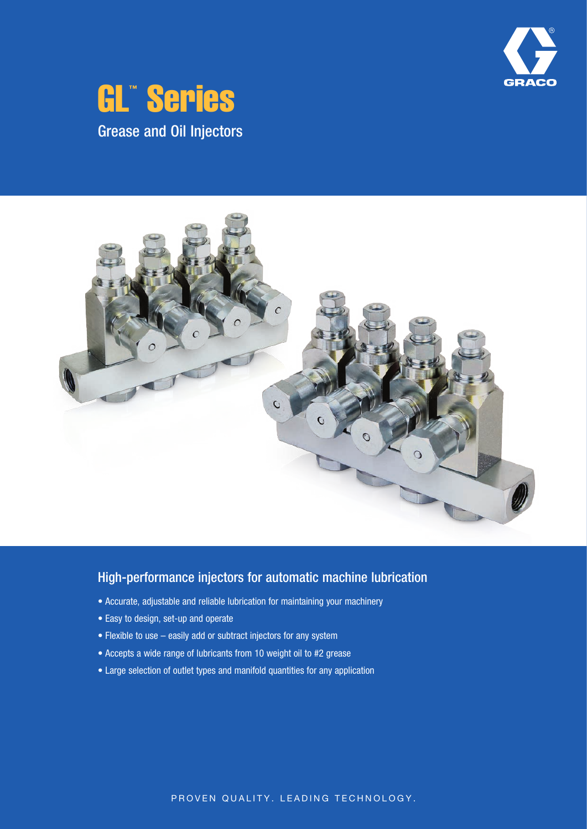





## High-performance injectors for automatic machine lubrication

- Accurate, adjustable and reliable lubrication for maintaining your machinery
- Easy to design, set-up and operate
- Flexible to use easily add or subtract injectors for any system
- Accepts a wide range of lubricants from 10 weight oil to #2 grease
- Large selection of outlet types and manifold quantities for any application